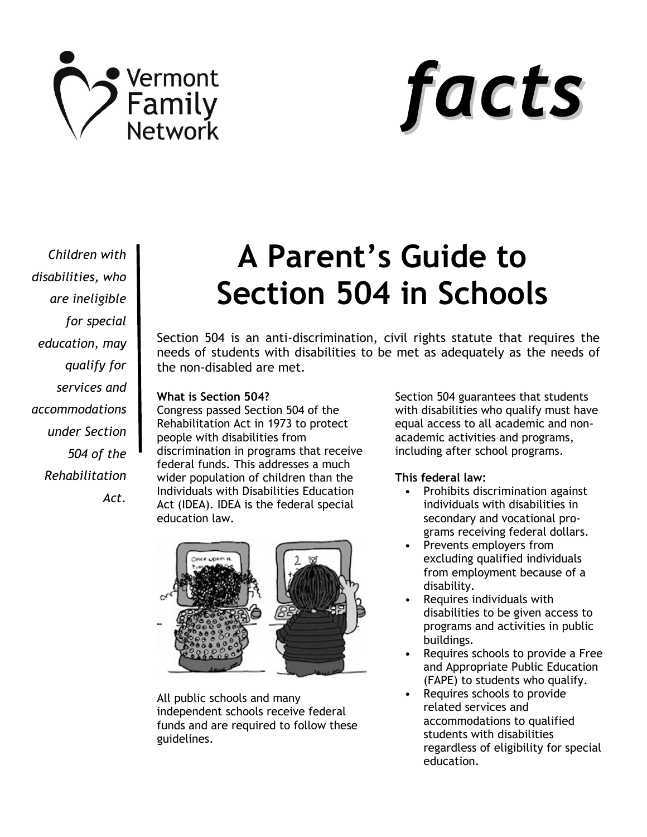



*Children with disabilities, who are ineligible for special education, may qualify for services and accommodations under Section 504 of the Rehabilitation Act.*

# **A Parent's Guide to Section 504 in Schools**

Section 504 is an anti-discrimination, civil rights statute that requires the needs of students with disabilities to be met as adequately as the needs of the non-disabled are met.

## **What is Section 504?**

Congress passed Section 504 of the Rehabilitation Act in 1973 to protect people with disabilities from discrimination in programs that receive federal funds. This addresses a much wider population of children than the Individuals with Disabilities Education Act (IDEA). IDEA is the federal special education law.



All public schools and many independent schools receive federal funds and are required to follow these guidelines.

Section 504 guarantees that students with disabilities who qualify must have equal access to all academic and nonacademic activities and programs, including after school programs.

# **This federal law:**

- Prohibits discrimination against individuals with disabilities in secondary and vocational programs receiving federal dollars.
- Prevents employers from excluding qualified individuals from employment because of a disability.
- Requires individuals with disabilities to be given access to programs and activities in public buildings.
- Requires schools to provide a Free and Appropriate Public Education (FAPE) to students who qualify.
- Requires schools to provide related services and accommodations to qualified students with disabilities regardless of eligibility for special education.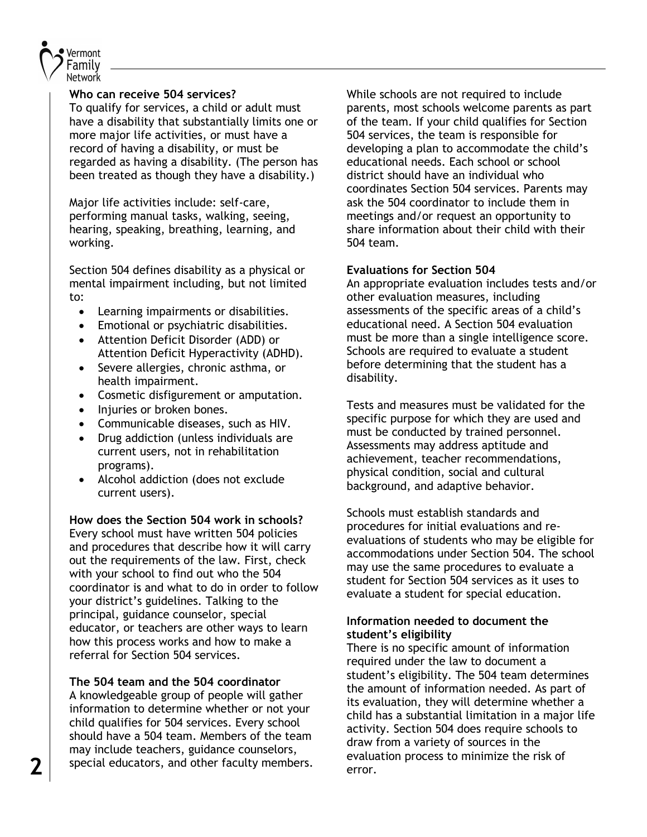

## **Who can receive 504 services?**

To qualify for services, a child or adult must have a disability that substantially limits one or more major life activities, or must have a record of having a disability, or must be regarded as having a disability. (The person has been treated as though they have a disability.)

Major life activities include: self-care, performing manual tasks, walking, seeing, hearing, speaking, breathing, learning, and working.

Section 504 defines disability as a physical or mental impairment including, but not limited to:

- Learning impairments or disabilities.
- Emotional or psychiatric disabilities.
- Attention Deficit Disorder (ADD) or Attention Deficit Hyperactivity (ADHD).
- Severe allergies, chronic asthma, or health impairment.
- Cosmetic disfigurement or amputation.
- Injuries or broken bones.
- Communicable diseases, such as HIV.
- Drug addiction (unless individuals are current users, not in rehabilitation programs).
- Alcohol addiction (does not exclude current users).

**How does the Section 504 work in schools?** Every school must have written 504 policies and procedures that describe how it will carry out the requirements of the law. First, check with your school to find out who the 504 coordinator is and what to do in order to follow your district's guidelines. Talking to the principal, guidance counselor, special educator, or teachers are other ways to learn how this process works and how to make a referral for Section 504 services.

**The 504 team and the 504 coordinator**

A knowledgeable group of people will gather information to determine whether or not your child qualifies for 504 services. Every school should have a 504 team. Members of the team may include teachers, guidance counselors,

While schools are not required to include parents, most schools welcome parents as part of the team. If your child qualifies for Section 504 services, the team is responsible for developing a plan to accommodate the child's educational needs. Each school or school district should have an individual who coordinates Section 504 services. Parents may ask the 504 coordinator to include them in meetings and/or request an opportunity to share information about their child with their 504 team.

## **Evaluations for Section 504**

An appropriate evaluation includes tests and/or other evaluation measures, including assessments of the specific areas of a child's educational need. A Section 504 evaluation must be more than a single intelligence score. Schools are required to evaluate a student before determining that the student has a disability.

Tests and measures must be validated for the specific purpose for which they are used and must be conducted by trained personnel. Assessments may address aptitude and achievement, teacher recommendations, physical condition, social and cultural background, and adaptive behavior.

Schools must establish standards and procedures for initial evaluations and reevaluations of students who may be eligible for accommodations under Section 504. The school may use the same procedures to evaluate a student for Section 504 services as it uses to evaluate a student for special education.

## **Information needed to document the student's eligibility**

as the may include teachers, guidance counselors,<br>
evaluation process to minimize the risk of error. There is no specific amount of information required under the law to document a student's eligibility. The 504 team determines the amount of information needed. As part of its evaluation, they will determine whether a child has a substantial limitation in a major life activity. Section 504 does require schools to draw from a variety of sources in the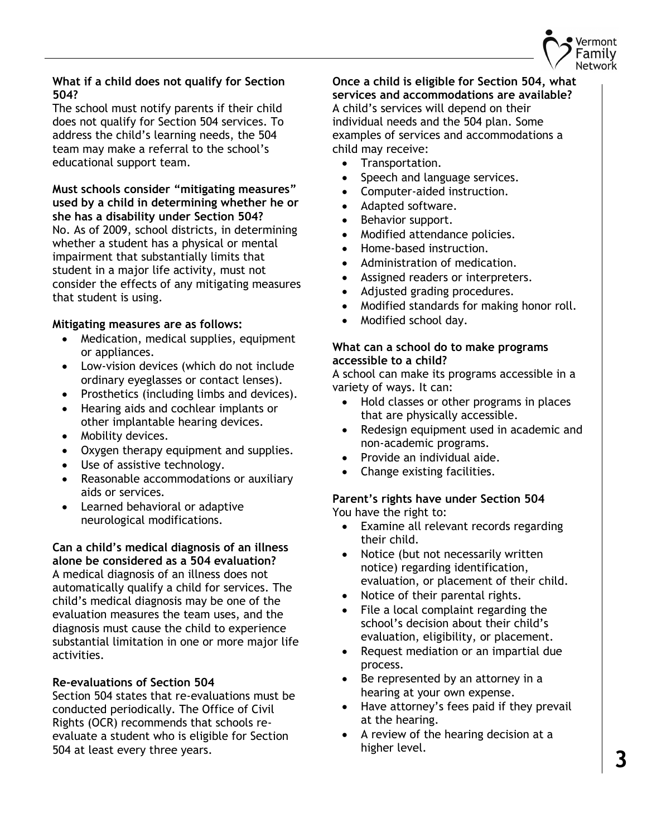

## **What if a child does not qualify for Section 504?**

The school must notify parents if their child does not qualify for Section 504 services. To address the child's learning needs, the 504 team may make a referral to the school's educational support team.

# **Must schools consider "mitigating measures" used by a child in determining whether he or she has a disability under Section 504?**

No. As of 2009, school districts, in determining whether a student has a physical or mental impairment that substantially limits that student in a major life activity, must not consider the effects of any mitigating measures that student is using.

## **Mitigating measures are as follows:**

- Medication, medical supplies, equipment or appliances.
- Low-vision devices (which do not include ordinary eyeglasses or contact lenses).
- Prosthetics (including limbs and devices).
- Hearing aids and cochlear implants or other implantable hearing devices.
- Mobility devices.
- Oxygen therapy equipment and supplies.
- Use of assistive technology.
- Reasonable accommodations or auxiliary aids or services.
- Learned behavioral or adaptive neurological modifications.

**Can a child's medical diagnosis of an illness alone be considered as a 504 evaluation?** A medical diagnosis of an illness does not automatically qualify a child for services. The child's medical diagnosis may be one of the evaluation measures the team uses, and the diagnosis must cause the child to experience substantial limitation in one or more major life activities.

# **Re-evaluations of Section 504**

Section 504 states that re-evaluations must be conducted periodically. The Office of Civil Rights (OCR) recommends that schools reevaluate a student who is eligible for Section 504 at least every three years.

#### **Once a child is eligible for Section 504, what services and accommodations are available?**

A child's services will depend on their individual needs and the 504 plan. Some examples of services and accommodations a child may receive:

- Transportation.
- Speech and language services.
- Computer-aided instruction.
- Adapted software.
- Behavior support.
- Modified attendance policies.
- Home-based instruction.
- Administration of medication.
- Assigned readers or interpreters.
- Adjusted grading procedures.
- Modified standards for making honor roll.
- Modified school day.

# **What can a school do to make programs accessible to a child?**

A school can make its programs accessible in a variety of ways. It can:

- Hold classes or other programs in places that are physically accessible.
- Redesign equipment used in academic and non-academic programs.
- Provide an individual aide.
- Change existing facilities.

## **Parent's rights have under Section 504** You have the right to:

- Examine all relevant records regarding their child.
- Notice (but not necessarily written notice) regarding identification, evaluation, or placement of their child.
- Notice of their parental rights.
- File a local complaint regarding the school's decision about their child's evaluation, eligibility, or placement.
- Request mediation or an impartial due process.
- Be represented by an attorney in a hearing at your own expense.
- Have attorney's fees paid if they prevail at the hearing.
- A review of the hearing decision at a higher level.